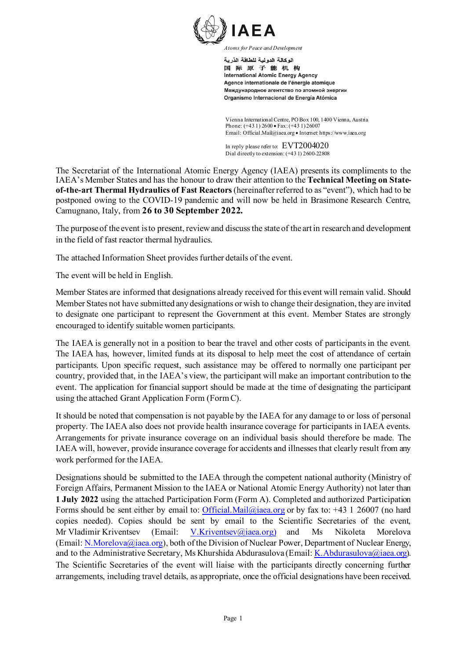

اله كالة الده لدة للطاقة الذر بة 国际原子能机构 **International Atomic Energy Agency** Agence internationale de l'énergie atomique Международное агентство по атомной энергии Organismo Internacional de Energía Atómica

Vienna International Centre, PO Box 100, 1400 Vienna, Austria Phone: (+43 1) 2600 • Fax: (+43 1) 26007 Email: Official.Mail@iaea.org • Internet: https://www.iaea.org

In reply please refer to: EVT2004020 Dial directly to extension: (+43 1) 2600-22808

The Secretariat of the International Atomic Energy Agency (IAEA) presents its compliments to the IAEA's Member States and has the honour to draw their attention to the **Technical Meeting on Stateof-the-art Thermal Hydraulics of Fast Reactors** (hereinafter referred to as "event"), which had to be postponed owing to the COVID-19 pandemic and will now be held in Brasimone Research Centre, Camugnano, Italy, from **26 to 30 September 2022.**

The purpose of the event is to present, review and discuss the state of the art in research and development in the field of fast reactor thermal hydraulics.

The attached Information Sheet provides further details of the event.

The event will be held in English.

Member States are informed that designations already received for this event will remain valid. Should Member States not have submitted any designations or wish to change their designation, they are invited to designate one participant to represent the Government at this event. Member States are strongly encouraged to identify suitable women participants.

The IAEA is generally not in a position to bear the travel and other costs of participants in the event. The IAEA has, however, limited funds at its disposal to help meet the cost of attendance of certain participants. Upon specific request, such assistance may be offered to normally one participant per country, provided that, in the IAEA's view, the participant will make an important contribution to the event. The application for financial support should be made at the time of designating the participant using the attached Grant Application Form (FormC).

It should be noted that compensation is not payable by the IAEA for any damage to or loss of personal property. The IAEA also does not provide health insurance coverage for participants in IAEA events. Arrangements for private insurance coverage on an individual basis should therefore be made. The IAEA will, however, provide insurance coverage for accidents and illnesses that clearly result from any work performed for the IAEA.

Designations should be submitted to the IAEA through the competent national authority (Ministry of Foreign Affairs, Permanent Mission to the IAEA or National Atomic Energy Authority) not later than **1 July 2022** using the attached Participation Form (Form A). Completed and authorized Participation Forms should be sent either by email to: [Official.Mail@iaea.org](mailto:official.mail@iaea.org) or by fax to: +43 1 26007 (no hard copies needed). Copies should be sent by email to the Scientific Secretaries of the event, Mr Vladimir Kriventsev (Email: [V.Kriventsev@iaea.org](mailto:V.Kriventsev@iaea.org)) and Ms Nikoleta Morelova (Email: [N.Morelova@iaea.org\)](mailto:N.Morelova@iaea.org), both of the Division of Nuclear Power, Department of Nuclear Energy, and to the Administrative Secretary, Ms Khurshida Abdurasulova (Email[: K.Abdurasulova@iaea.org\)](mailto:K.Abdurasulova@iaea.org). The Scientific Secretaries of the event will liaise with the participants directly concerning further arrangements, including travel details, as appropriate, once the official designations have been received.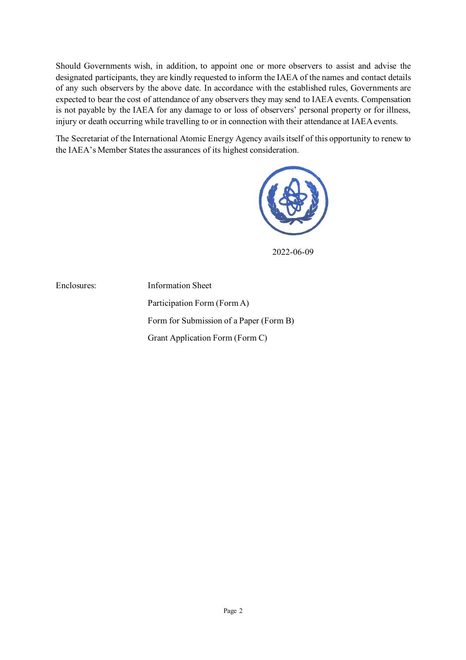Should Governments wish, in addition, to appoint one or more observers to assist and advise the designated participants, they are kindly requested to inform the IAEA of the names and contact details of any such observers by the above date. In accordance with the established rules, Governments are expected to bear the cost of attendance of any observers they may send to IAEA events. Compensation is not payable by the IAEA for any damage to or loss of observers' personal property or for illness, injury or death occurring while travelling to or in connection with their attendance at IAEA events.

The Secretariat of the International Atomic Energy Agency avails itself of this opportunity to renew to the IAEA's Member States the assurances of its highest consideration.



2022-06-09

Enclosures: Information Sheet

Participation Form (Form A) Form for Submission of a Paper (Form B) Grant Application Form (Form C)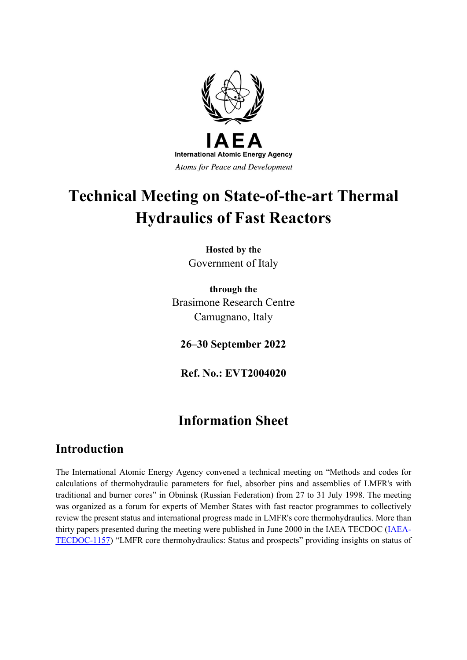

# **Technical Meeting on State-of-the-art Thermal Hydraulics of Fast Reactors**

**Hosted by the** Government of Italy

**through the** Brasimone Research Centre Camugnano, Italy

**26–30 September 2022**

**Ref. No.: EVT2004020**

## **Information Sheet**

## **Introduction**

The International Atomic Energy Agency convened a technical meeting on "Methods and codes for calculations of thermohydraulic parameters for fuel, absorber pins and assemblies of LMFR's with traditional and burner cores" in Obninsk (Russian Federation) from 27 to 31 July 1998. The meeting was organized as a forum for experts of Member States with fast reactor programmes to collectively review the present status and international progress made in LMFR's core thermohydraulics. More than thirty papers presented during the meeting were published in June 2000 in the IAEA TECDOC [\(IAEA-](https://www-pub.iaea.org/MTCD/Publications/PDF/te_1157_prn.pdf)[TECDOC-1157\)](https://www-pub.iaea.org/MTCD/Publications/PDF/te_1157_prn.pdf) "LMFR core thermohydraulics: Status and prospects" providing insights on status of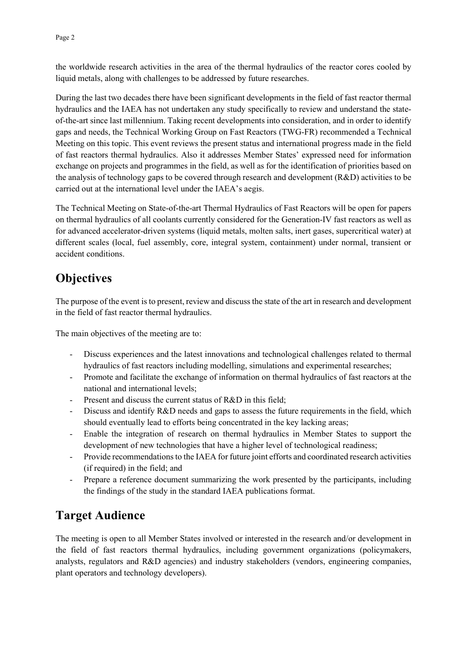the worldwide research activities in the area of the thermal hydraulics of the reactor cores cooled by liquid metals, along with challenges to be addressed by future researches.

During the last two decades there have been significant developments in the field of fast reactor thermal hydraulics and the IAEA has not undertaken any study specifically to review and understand the stateof-the-art since last millennium. Taking recent developments into consideration, and in order to identify gaps and needs, the Technical Working Group on Fast Reactors (TWG-FR) recommended a Technical Meeting on this topic. This event reviews the present status and international progress made in the field of fast reactors thermal hydraulics. Also it addresses Member States' expressed need for information exchange on projects and programmes in the field, as well as for the identification of priorities based on the analysis of technology gaps to be covered through research and development (R&D) activities to be carried out at the international level under the IAEA's aegis.

The Technical Meeting on State-of-the-art Thermal Hydraulics of Fast Reactors will be open for papers on thermal hydraulics of all coolants currently considered for the Generation-IV fast reactors as well as for advanced accelerator-driven systems (liquid metals, molten salts, inert gases, supercritical water) at different scales (local, fuel assembly, core, integral system, containment) under normal, transient or accident conditions.

## **Objectives**

The purpose of the event is to present, review and discuss the state of the art in research and development in the field of fast reactor thermal hydraulics.

The main objectives of the meeting are to:

- Discuss experiences and the latest innovations and technological challenges related to thermal hydraulics of fast reactors including modelling, simulations and experimental researches;
- Promote and facilitate the exchange of information on thermal hydraulics of fast reactors at the national and international levels;
- Present and discuss the current status of R&D in this field;
- Discuss and identify R&D needs and gaps to assess the future requirements in the field, which should eventually lead to efforts being concentrated in the key lacking areas;
- Enable the integration of research on thermal hydraulics in Member States to support the development of new technologies that have a higher level of technological readiness;
- Provide recommendations to the IAEA for future joint efforts and coordinated research activities (if required) in the field; and
- Prepare a reference document summarizing the work presented by the participants, including the findings of the study in the standard IAEA publications format.

## **Target Audience**

The meeting is open to all Member States involved or interested in the research and/or development in the field of fast reactors thermal hydraulics, including government organizations (policymakers, analysts, regulators and R&D agencies) and industry stakeholders (vendors, engineering companies, plant operators and technology developers).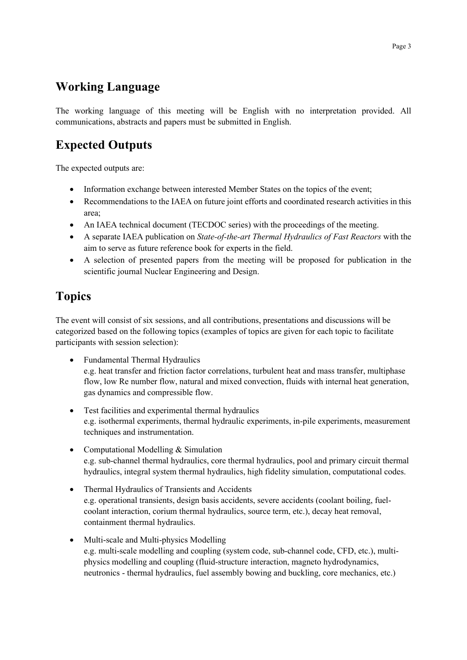## **Working Language**

The working language of this meeting will be English with no interpretation provided. All communications, abstracts and papers must be submitted in English.

## **Expected Outputs**

The expected outputs are:

- Information exchange between interested Member States on the topics of the event;
- Recommendations to the IAEA on future joint efforts and coordinated research activities in this area;
- An IAEA technical document (TECDOC series) with the proceedings of the meeting.
- A separate IAEA publication on *State-of-the-art Thermal Hydraulics of Fast Reactors* with the aim to serve as future reference book for experts in the field.
- A selection of presented papers from the meeting will be proposed for publication in the scientific journal Nuclear Engineering and Design.

## **Topics**

The event will consist of six sessions, and all contributions, presentations and discussions will be categorized based on the following topics (examples of topics are given for each topic to facilitate participants with session selection):

- Fundamental Thermal Hydraulics e.g. heat transfer and friction factor correlations, turbulent heat and mass transfer, multiphase flow, low Re number flow, natural and mixed convection, fluids with internal heat generation, gas dynamics and compressible flow.
- Test facilities and experimental thermal hydraulics e.g. isothermal experiments, thermal hydraulic experiments, in-pile experiments, measurement techniques and instrumentation.
- Computational Modelling & Simulation e.g. sub-channel thermal hydraulics, core thermal hydraulics, pool and primary circuit thermal hydraulics, integral system thermal hydraulics, high fidelity simulation, computational codes.
- Thermal Hydraulics of Transients and Accidents e.g. operational transients, design basis accidents, severe accidents (coolant boiling, fuelcoolant interaction, corium thermal hydraulics, source term, etc.), decay heat removal, containment thermal hydraulics.
- Multi-scale and Multi-physics Modelling e.g. multi-scale modelling and coupling (system code, sub-channel code, CFD, etc.), multiphysics modelling and coupling (fluid-structure interaction, magneto hydrodynamics, neutronics - thermal hydraulics, fuel assembly bowing and buckling, core mechanics, etc.)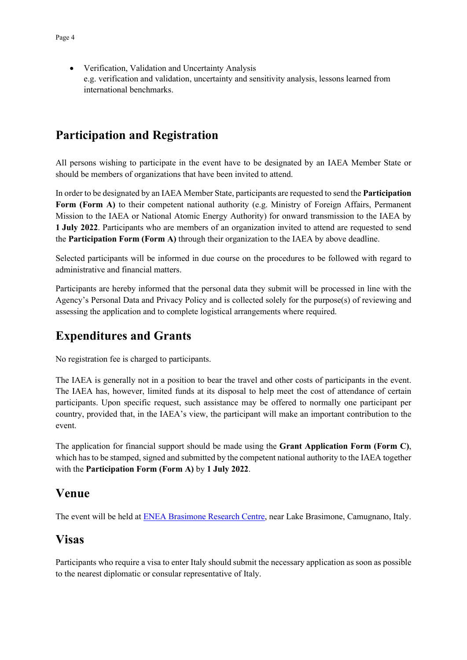• Verification, Validation and Uncertainty Analysis e.g. verification and validation, uncertainty and sensitivity analysis, lessons learned from international benchmarks.

## **Participation and Registration**

All persons wishing to participate in the event have to be designated by an IAEA Member State or should be members of organizations that have been invited to attend.

In order to be designated by an IAEA Member State, participants are requested to send the **Participation Form (Form A)** to their competent national authority (e.g. Ministry of Foreign Affairs, Permanent Mission to the IAEA or National Atomic Energy Authority) for onward transmission to the IAEA by **1 July 2022**. Participants who are members of an organization invited to attend are requested to send the **Participation Form (Form A)** through their organization to the IAEA by above deadline.

Selected participants will be informed in due course on the procedures to be followed with regard to administrative and financial matters.

Participants are hereby informed that the personal data they submit will be processed in line with the Agency's Personal Data and Privacy Policy and is collected solely for the purpose(s) of reviewing and assessing the application and to complete logistical arrangements where required.

## **Expenditures and Grants**

No registration fee is charged to participants.

The IAEA is generally not in a position to bear the travel and other costs of participants in the event. The IAEA has, however, limited funds at its disposal to help meet the cost of attendance of certain participants. Upon specific request, such assistance may be offered to normally one participant per country, provided that, in the IAEA's view, the participant will make an important contribution to the event.

The application for financial support should be made using the **Grant Application Form (Form C)**, which has to be stamped, signed and submitted by the competent national authority to the IAEA together with the **Participation Form (Form A)** by **1 July 2022**.

## **Venue**

The event will be held a[t ENEA Brasimone Research Centre,](https://www.google.com/maps/place/Centro+Ricerche+Brasimone+-+ENEA/@44.1199382,11.1158386,17z/data=!3m1!4b1!4m5!3m4!1s0x132ae901c8cf1f03:0xad9b6f630cb27f56!8m2!3d44.1199382!4d11.1180326?shorturl=1) near Lake Brasimone, Camugnano, Italy.

## **Visas**

Participants who require a visa to enter Italy should submit the necessary application as soon as possible to the nearest diplomatic or consular representative of Italy.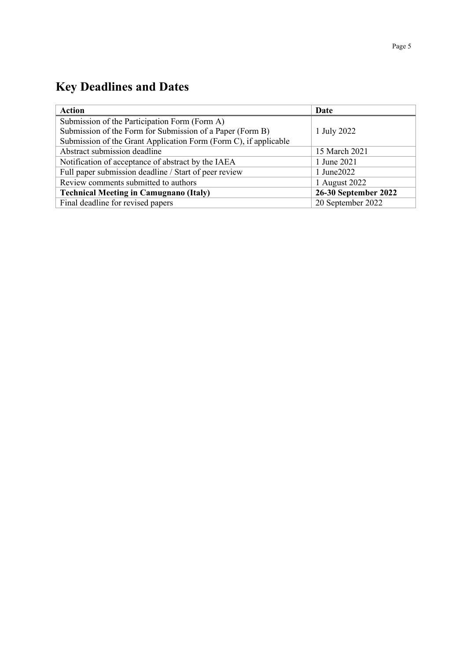# **Key Deadlines and Dates**

| <b>Action</b>                                                    | Date                 |
|------------------------------------------------------------------|----------------------|
| Submission of the Participation Form (Form A)                    |                      |
| Submission of the Form for Submission of a Paper (Form B)        | 1 July 2022          |
| Submission of the Grant Application Form (Form C), if applicable |                      |
| Abstract submission deadline                                     | 15 March 2021        |
| Notification of acceptance of abstract by the IAEA               | 1 June 2021          |
| Full paper submission deadline / Start of peer review            | 1 June 2022          |
| Review comments submitted to authors                             | 1 August 2022        |
| <b>Technical Meeting in Camugnano (Italy)</b>                    | 26-30 September 2022 |
| Final deadline for revised papers                                | 20 September 2022    |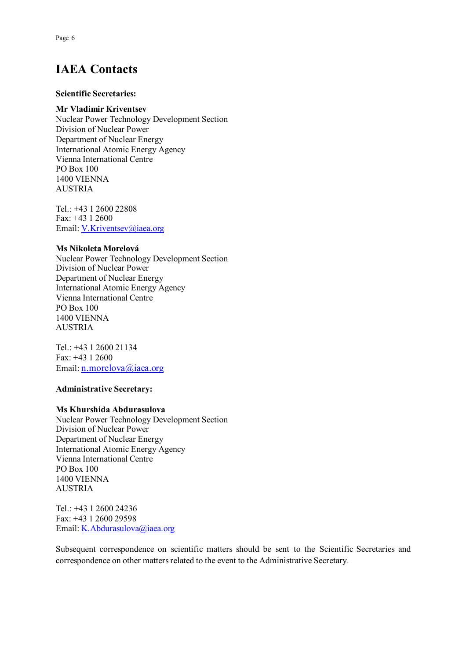## **IAEA Contacts**

#### **Scientific Secretaries:**

#### **Mr Vladimir Kriventsev**

Nuclear Power Technology Development Section Division of Nuclear Power Department of Nuclear Energy International Atomic Energy Agency Vienna International Centre PO Box 100 1400 VIENNA AUSTRIA

Tel.: +43 1 2600 22808 Fax: +43 1 2600 Email[: V.Kriventsev@iaea.org](mailto:V.Kriventsev@iaea.org)

#### **Ms Nikoleta Morelová**

Nuclear Power Technology Development Section Division of Nuclear Power Department of Nuclear Energy International Atomic Energy Agency Vienna International Centre PO Box 100 1400 VIENNA AUSTRIA

Tel.: +43 1 2600 21134 Fax: +43 1 2600 Email[: n.morelova@iaea.org](mailto:n.morelova@iaea.org)

#### **Administrative Secretary:**

#### **Ms Khurshida Abdurasulova**

Nuclear Power Technology Development Section Division of Nuclear Power Department of Nuclear Energy International Atomic Energy Agency Vienna International Centre PO Box 100 1400 VIENNA AUSTRIA

Tel.: +43 1 2600 24236 Fax: +43 1 2600 29598 Email[: K.Abdurasulova@iaea.org](mailto:K.Abdurasulova@iaea.org)

Subsequent correspondence on scientific matters should be sent to the Scientific Secretaries and correspondence on other matters related to the event to the Administrative Secretary.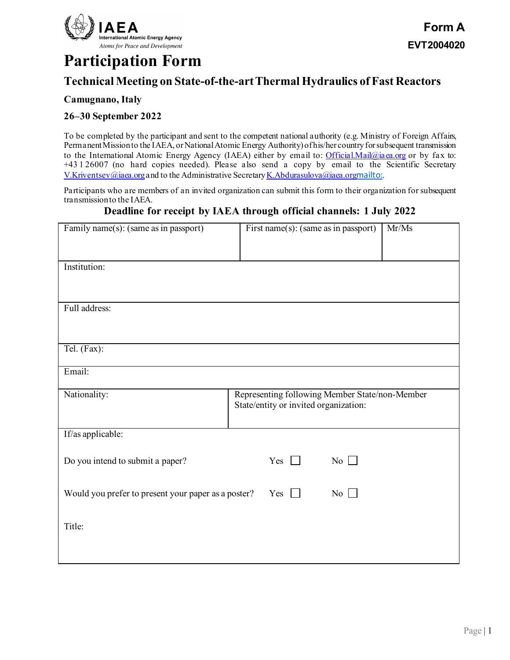

# **Participation Form**

## **Technical Meeting on State-of-the-art Thermal Hydraulics of Fast Reactors**

### **Camugnano, Italy**

#### **26–30 September 2022**

To be completed by the participant and sent to the competent national authority (e.g. Ministry of Foreign Affairs, Permanent Mission to the IAEA, or National Atomic Energy Authority) of his/her country for subsequent transmission to the International Atomic Energy Agency (IAEA) either by email to: [Official.Mail@iaea.org](mailto:official.mail@iaea.org) or by fax to: +43 1 26007 (no hard copies needed). Please also send a copy by email to the Scientific Secretary [V.Kriventsev@iaea.org](mailto:V.Kriventsev@iaea.org) and to the Administrative Secretary K.Abdurasulova@iaea.org<mailto:>.

Participants who are members of an invited organization can submit this form to their organization for subsequent transmission to the IAEA.

### **Deadline for receipt by IAEA through official channels: 1 July 2022**

| Family name(s): (same as in passport)                                              | First name(s): (same as in passport)                                                    | Mr/Ms |  |  |
|------------------------------------------------------------------------------------|-----------------------------------------------------------------------------------------|-------|--|--|
| Institution:                                                                       |                                                                                         |       |  |  |
|                                                                                    |                                                                                         |       |  |  |
| Full address:                                                                      |                                                                                         |       |  |  |
| Tel. (Fax):                                                                        |                                                                                         |       |  |  |
|                                                                                    |                                                                                         |       |  |  |
| Email:                                                                             |                                                                                         |       |  |  |
| Nationality:                                                                       | Representing following Member State/non-Member<br>State/entity or invited organization: |       |  |  |
| If/as applicable:                                                                  |                                                                                         |       |  |  |
| Do you intend to submit a paper?                                                   | Yes<br>No                                                                               |       |  |  |
| No $\Box$<br>Would you prefer to present your paper as a poster?<br>Yes<br>$\perp$ |                                                                                         |       |  |  |
| Title:                                                                             |                                                                                         |       |  |  |
|                                                                                    |                                                                                         |       |  |  |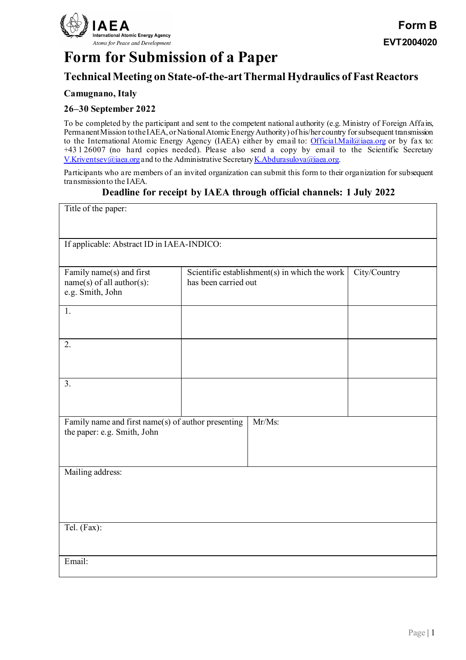

# **Form for Submission of a Paper**

## **Technical Meeting on State-of-the-art Thermal Hydraulics of Fast Reactors**

### **Camugnano, Italy**

### **26–30 September 2022**

To be completed by the participant and sent to the competent national authority (e.g. Ministry of Foreign Affairs, Permanent Mission to the IAEA, or National Atomic Energy Authority) of his/her country for subsequent transmission to the International Atomic Energy Agency (IAEA) either by email to: [Official.Mail@iaea.org](mailto:official.mail@iaea.org) or by fax to: +43 1 26007 (no hard copies needed). Please also send a copy by email to the Scientific Secretary [V.Kriventsev@iaea.org](mailto:V.Kriventsev@iaea.org) and to the Administrative Secretary K.Abdurasulova@iaea.org.

Participants who are members of an invited organization can submit this form to their organization for subsequent transmission to the IAEA.

### **Deadline for receipt by IAEA through official channels: 1 July 2022**

| Title of the paper:                                          |                                                                                       |  |  |  |
|--------------------------------------------------------------|---------------------------------------------------------------------------------------|--|--|--|
|                                                              |                                                                                       |  |  |  |
| If applicable: Abstract ID in IAEA-INDICO:                   |                                                                                       |  |  |  |
|                                                              |                                                                                       |  |  |  |
| Family name(s) and first<br>$name(s)$ of all author(s):      | Scientific establishment(s) in which the work<br>City/Country<br>has been carried out |  |  |  |
| e.g. Smith, John                                             |                                                                                       |  |  |  |
| 1.                                                           |                                                                                       |  |  |  |
|                                                              |                                                                                       |  |  |  |
| 2.                                                           |                                                                                       |  |  |  |
|                                                              |                                                                                       |  |  |  |
| 3.                                                           |                                                                                       |  |  |  |
|                                                              |                                                                                       |  |  |  |
| Mr/Ms:<br>Family name and first name(s) of author presenting |                                                                                       |  |  |  |
| the paper: e.g. Smith, John                                  |                                                                                       |  |  |  |
|                                                              |                                                                                       |  |  |  |
| Mailing address:                                             |                                                                                       |  |  |  |
|                                                              |                                                                                       |  |  |  |
|                                                              |                                                                                       |  |  |  |
| Tel. (Fax):                                                  |                                                                                       |  |  |  |
|                                                              |                                                                                       |  |  |  |
| Email:                                                       |                                                                                       |  |  |  |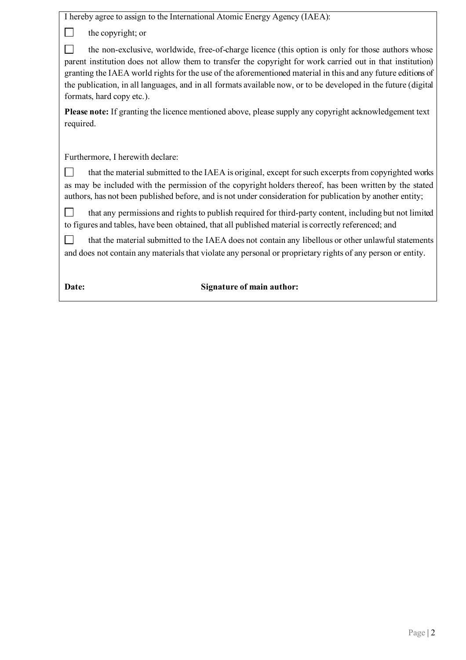| I hereby agree to assign to the International Atomic Energy Agency (IAEA):                                                                                                                                                                                                                                                                                                                                                                                                     |
|--------------------------------------------------------------------------------------------------------------------------------------------------------------------------------------------------------------------------------------------------------------------------------------------------------------------------------------------------------------------------------------------------------------------------------------------------------------------------------|
| the copyright; or                                                                                                                                                                                                                                                                                                                                                                                                                                                              |
| the non-exclusive, worldwide, free-of-charge licence (this option is only for those authors whose<br>parent institution does not allow them to transfer the copyright for work carried out in that institution)<br>granting the IAEA world rights for the use of the aforementioned material in this and any future editions of<br>the publication, in all languages, and in all formats available now, or to be developed in the future (digital<br>formats, hard copy etc.). |
| Please note: If granting the licence mentioned above, please supply any copyright acknowledgement text<br>required.                                                                                                                                                                                                                                                                                                                                                            |
| Furthermore, I herewith declare:                                                                                                                                                                                                                                                                                                                                                                                                                                               |
| that the material submitted to the IAEA is original, except for such excerpts from copyrighted works<br>as may be included with the permission of the copyright holders thereof, has been written by the stated<br>authors, has not been published before, and is not under consideration for publication by another entity;                                                                                                                                                   |
| that any permissions and rights to publish required for third-party content, including but not limited<br>to figures and tables, have been obtained, that all published material is correctly referenced; and                                                                                                                                                                                                                                                                  |
| that the material submitted to the IAEA does not contain any libellous or other unlawful statements<br>and does not contain any materials that violate any personal or proprietary rights of any person or entity.                                                                                                                                                                                                                                                             |
| <b>Signature of main author:</b><br>Date:                                                                                                                                                                                                                                                                                                                                                                                                                                      |